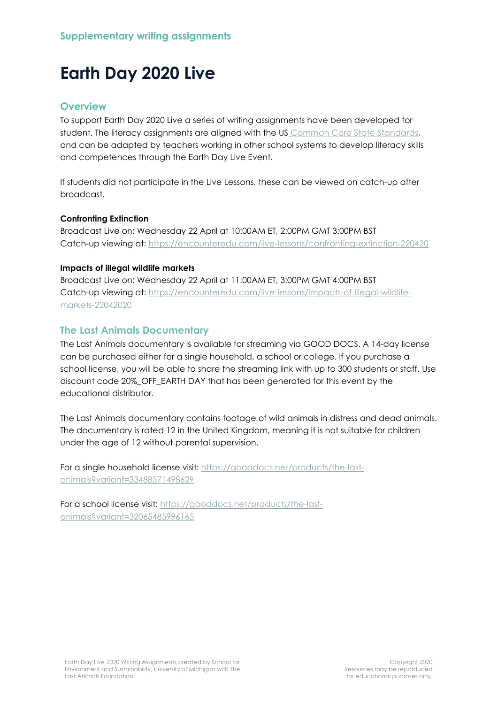# **Earth Day 2020 Live**

## **Overview**

To support Earth Day 2020 Live a series of writing assignments have been developed for student. The literacy assignments are aligned with the US [Common Core State Standards,](http://www.corestandards.org/ELA-Literacy/) and can be adapted by teachers working in other school systems to develop literacy skills and competences through the Earth Day Live Event.

If students did not participate in the Live Lessons, these can be viewed on catch-up after broadcast.

#### **Confronting Extinction**

Broadcast Live on: Wednesday 22 April at 10:00AM ET, 2:00PM GMT 3:00PM BST Catch-up viewing at:<https://encounteredu.com/live-lessons/confronting-extinction-220420>

#### **Impacts of illegal wildlife markets**

Broadcast Live on: Wednesday 22 April at 11:00AM ET, 3:00PM GMT 4:00PM BST Catch-up viewing at: [https://encounteredu.com/live-lessons/impacts-of-illegal-wildlife](https://encounteredu.com/live-lessons/impacts-of-illegal-wildlife-markets-22042020)[markets-22042020](https://encounteredu.com/live-lessons/impacts-of-illegal-wildlife-markets-22042020)

## **The Last Animals Documentary**

The Last Animals documentary is available for streaming via GOOD DOCS. A 14-day license can be purchased either for a single household, a school or college. If you purchase a school license, you will be able to share the streaming link with up to 300 students or staff. Use discount code 20%\_OFF\_EARTH DAY that has been generated for this event by the educational distributor.

The Last Animals documentary contains footage of wild animals in distress and dead animals. The documentary is rated 12 in the United Kingdom, meaning it is not suitable for children under the age of 12 without parental supervision.

For a single household license visit: [https://gooddocs.net/products/the-last](https://gooddocs.net/products/the-last-animals?variant=33488571498629)[animals?variant=33488571498629](https://gooddocs.net/products/the-last-animals?variant=33488571498629)

For a school license visit: [https://gooddocs.net/products/the-last](https://gooddocs.net/products/the-last-animals?variant=32065485996165)[animals?variant=32065485996165](https://gooddocs.net/products/the-last-animals?variant=32065485996165)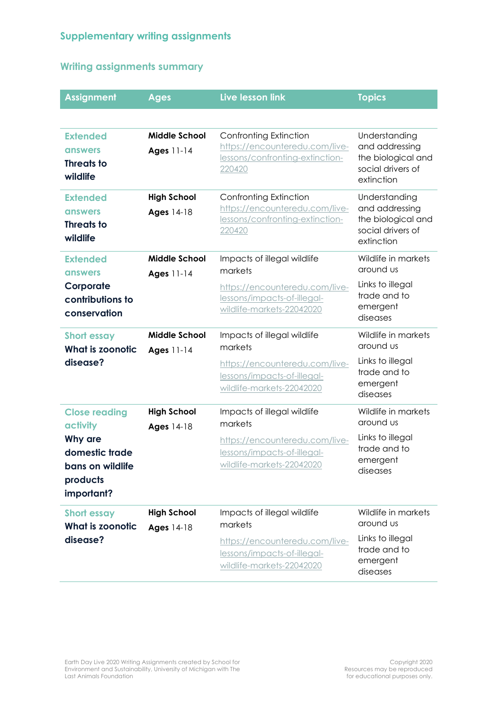# **Writing assignments summary**

| <b>Assignment</b>                                                       | <b>Ages</b>                        | Live lesson link                                                                                             | <b>Topics</b>                                                                            |
|-------------------------------------------------------------------------|------------------------------------|--------------------------------------------------------------------------------------------------------------|------------------------------------------------------------------------------------------|
|                                                                         |                                    |                                                                                                              |                                                                                          |
| <b>Extended</b><br><b>answers</b><br><b>Threats to</b><br>wildlife      | <b>Middle School</b><br>Ages 11-14 | Confronting Extinction<br>https://encounteredu.com/live-<br>lessons/confronting-extinction-<br>220420        | Understanding<br>and addressing<br>the biological and<br>social drivers of<br>extinction |
| <b>Extended</b><br><b>answers</b><br><b>Threats to</b><br>wildlife      | <b>High School</b><br>Ages 14-18   | <b>Confronting Extinction</b><br>https://encounteredu.com/live-<br>lessons/confronting-extinction-<br>220420 | Understanding<br>and addressing<br>the biological and<br>social drivers of<br>extinction |
| <b>Extended</b><br><b>answers</b>                                       | <b>Middle School</b><br>Ages 11-14 | Impacts of illegal wildlife<br>markets                                                                       | Wildlife in markets<br>around us                                                         |
| Corporate<br>contributions to<br>conservation                           |                                    | https://encounteredu.com/live-<br>lessons/impacts-of-illegal-<br>wildlife-markets-22042020                   | Links to illegal<br>trade and to<br>emergent<br>diseases                                 |
| <b>Short essay</b><br><b>What is zoonotic</b>                           | <b>Middle School</b><br>Ages 11-14 | Impacts of illegal wildlife<br>markets                                                                       | Wildlife in markets<br>around us                                                         |
| disease?                                                                |                                    | https://encounteredu.com/live-<br>lessons/impacts-of-illegal-<br>wildlife-markets-22042020                   | Links to illegal<br>trade and to<br>emergent<br>diseases                                 |
| <b>Close reading</b><br>activity                                        | <b>High School</b><br>Ages 14-18   | Impacts of illegal wildlife<br>markets                                                                       | Wildlife in markets<br>around us                                                         |
| Why are<br>domestic trade<br>bans on wildlife<br>products<br>important? |                                    | https://encounteredu.com/live-<br>lessons/impacts-of-illegal-<br>wildlife-markets-22042020                   | Links to illegal<br>trade and to<br>emergent<br>diseases                                 |
| <b>Short essay</b>                                                      | <b>High School</b>                 | Impacts of illegal wildlife<br>markets                                                                       | Wildlife in markets<br>around us                                                         |
| What is zoonotic<br>disease?                                            | Ages 14-18                         | https://encounteredu.com/live-<br>lessons/impacts-of-illegal-<br>wildlife-markets-22042020                   | Links to illegal<br>trade and to<br>emergent<br>diseases                                 |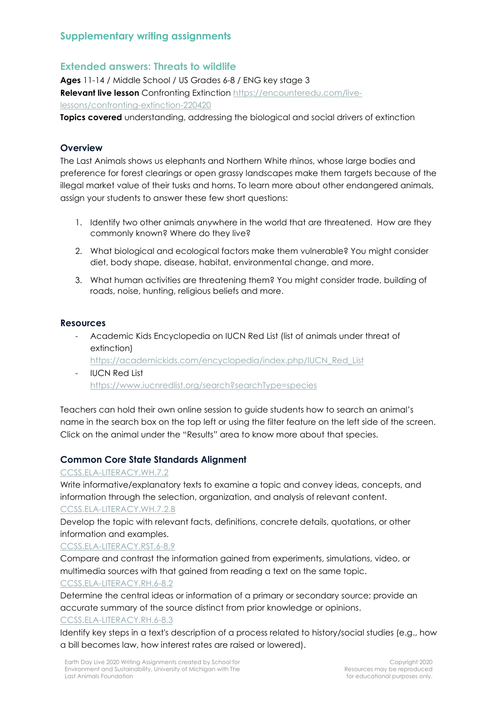## **Extended answers: Threats to wildlife**

**Ages** 11-14 / Middle School / US Grades 6-8 / ENG key stage 3 **Relevant live lesson** Confronting Extinction [https://encounteredu.com/live](https://encounteredu.com/live-lessons/confronting-extinction-220420)[lessons/confronting-extinction-220420](https://encounteredu.com/live-lessons/confronting-extinction-220420)

**Topics covered** understanding, addressing the biological and social drivers of extinction

## **Overview**

The Last Animals shows us elephants and Northern White rhinos, whose large bodies and preference for forest clearings or open grassy landscapes make them targets because of the illegal market value of their tusks and horns. To learn more about other endangered animals, assign your students to answer these few short questions:

- 1. Identify two other animals anywhere in the world that are threatened. How are they commonly known? Where do they live?
- 2. What biological and ecological factors make them vulnerable? You might consider diet, body shape, disease, habitat, environmental change, and more.
- 3. What human activities are threatening them? You might consider trade, building of roads, noise, hunting, religious beliefs and more.

#### **Resources**

- Academic Kids Encyclopedia on IUCN Red List (list of animals under threat of extinction)
	- [https://academickids.com/encyclopedia/index.php/IUCN\\_Red\\_List](https://academickids.com/encyclopedia/index.php/IUCN_Red_List)
- **IUCN Red List** <https://www.iucnredlist.org/search?searchType=species>

Teachers can hold their own online session to guide students how to search an animal's name in the search box on the top left or using the filter feature on the left side of the screen. Click on the animal under the "Results" area to know more about that species.

## **Common Core State Standards Alignment**

## [CCSS.ELA-LITERACY.WH.7.2](http://www.corestandards.org/ELA-Literacy/W/7/2/)

Write informative/explanatory texts to examine a topic and convey ideas, concepts, and information through the selection, organization, and analysis of relevant content. [CCSS.ELA-LITERACY.WH.7.2.B](http://www.corestandards.org/ELA-Literacy/W/7/2/b/)

Develop the topic with relevant facts, definitions, concrete details, quotations, or other information and examples.

## [CCSS.ELA-LITERACY.RST.6-8.9](http://www.corestandards.org/ELA-Literacy/RST/6-8/9/)

Compare and contrast the information gained from experiments, simulations, video, or multimedia sources with that gained from reading a text on the same topic. [CCSS.ELA-LITERACY.RH.6-8.2](http://www.corestandards.org/ELA-Literacy/RH/6-8/2/)

Determine the central ideas or information of a primary or secondary source; provide an accurate summary of the source distinct from prior knowledge or opinions.

#### [CCSS.ELA-LITERACY.RH.6-8.3](http://www.corestandards.org/ELA-Literacy/RH/6-8/3/)

Identify key steps in a text's description of a process related to history/social studies (e.g., how a bill becomes law, how interest rates are raised or lowered).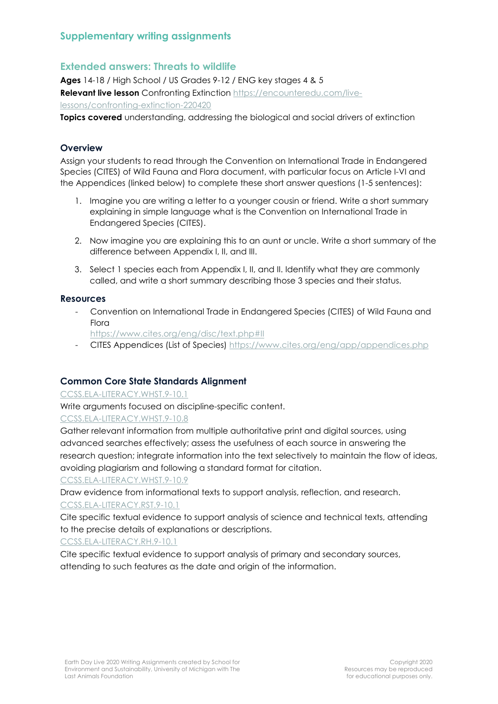## **Extended answers: Threats to wildlife**

**Ages** 14-18 / High School / US Grades 9-12 / ENG key stages 4 & 5 **Relevant live lesson** Confronting Extinction [https://encounteredu.com/live](https://encounteredu.com/live-lessons/confronting-extinction-220420)[lessons/confronting-extinction-220420](https://encounteredu.com/live-lessons/confronting-extinction-220420)

**Topics covered** understanding, addressing the biological and social drivers of extinction

## **Overview**

Assign your students to read through the Convention on International Trade in Endangered Species (CITES) of Wild Fauna and Flora document, with particular focus on Article I-VI and the Appendices (linked below) to complete these short answer questions (1-5 sentences):

- 1. Imagine you are writing a letter to a younger cousin or friend. Write a short summary explaining in simple language what is the Convention on International Trade in Endangered Species (CITES).
- 2. Now imagine you are explaining this to an aunt or uncle. Write a short summary of the difference between Appendix I, II, and III.
- 3. Select 1 species each from Appendix I, II, and II. Identify what they are commonly called, and write a short summary describing those 3 species and their status.

#### **Resources**

- Convention on International Trade in Endangered Species (CITES) of Wild Fauna and **Flora** 
	- <https://www.cites.org/eng/disc/text.php#II>
- CITES Appendices (List of Species) <https://www.cites.org/eng/app/appendices.php>

## **Common Core State Standards Alignment**

[CCSS.ELA-LITERACY.WHST.9-10.1](http://www.corestandards.org/ELA-Literacy/WHST/9-10/1/)

Write arguments focused on discipline-specific content.

[CCSS.ELA-LITERACY.WHST.9-10.8](http://www.corestandards.org/ELA-Literacy/WHST/9-10/8/)

Gather relevant information from multiple authoritative print and digital sources, using advanced searches effectively; assess the usefulness of each source in answering the research question; integrate information into the text selectively to maintain the flow of ideas, avoiding plagiarism and following a standard format for citation.

#### [CCSS.ELA-LITERACY.WHST.9-10.9](http://www.corestandards.org/ELA-Literacy/WHST/9-10/9/)

Draw evidence from informational texts to support analysis, reflection, and research. [CCSS.ELA-LITERACY.RST.9-10.1](http://www.corestandards.org/ELA-Literacy/RST/9-10/1/)

Cite specific textual evidence to support analysis of science and technical texts, attending to the precise details of explanations or descriptions.

[CCSS.ELA-LITERACY.RH.9-10.1](http://www.corestandards.org/ELA-Literacy/RH/9-10/1/)

Cite specific textual evidence to support analysis of primary and secondary sources, attending to such features as the date and origin of the information.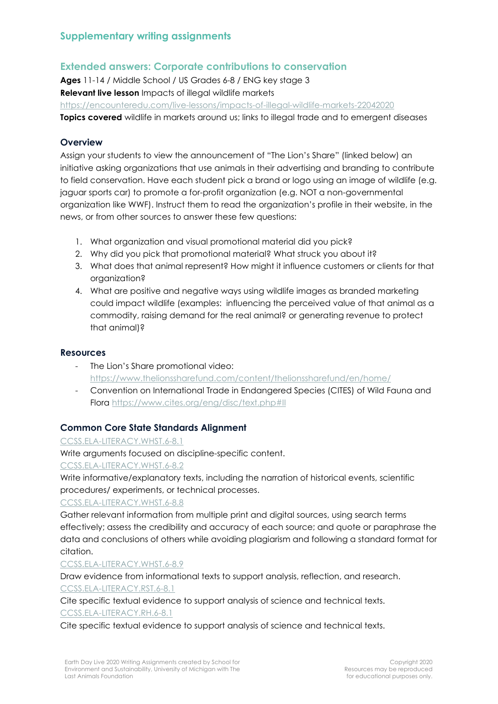# **Extended answers: Corporate contributions to conservation**

**Ages** 11-14 / Middle School / US Grades 6-8 / ENG key stage 3 **Relevant live lesson** Impacts of illegal wildlife markets <https://encounteredu.com/live-lessons/impacts-of-illegal-wildlife-markets-22042020> **Topics covered** wildlife in markets around us; links to illegal trade and to emergent diseases

#### **Overview**

Assign your students to view the announcement of "The Lion's Share" (linked below) an initiative asking organizations that use animals in their advertising and branding to contribute to field conservation. Have each student pick a brand or logo using an image of wildlife (e.g. jaguar sports car) to promote a for-profit organization (e.g. NOT a non-governmental organization like WWF). Instruct them to read the organization's profile in their website, in the news, or from other sources to answer these few questions:

- 1. What organization and visual promotional material did you pick?
- 2. Why did you pick that promotional material? What struck you about it?
- 3. What does that animal represent? How might it influence customers or clients for that organization?
- 4. What are positive and negative ways using wildlife images as branded marketing could impact wildlife (examples: influencing the perceived value of that animal as a commodity, raising demand for the real animal? or generating revenue to protect that animal)?

#### **Resources**

- The Lion's Share promotional video: <https://www.thelionssharefund.com/content/thelionssharefund/en/home/>
- Convention on International Trade in Endangered Species (CITES) of Wild Fauna and Flora <https://www.cites.org/eng/disc/text.php#II>

## **Common Core State Standards Alignment**

[CCSS.ELA-LITERACY.WHST.6-8.1](http://www.corestandards.org/ELA-Literacy/WHST/6-8/1/)

Write arguments focused on discipline-specific content.

[CCSS.ELA-LITERACY.WHST.6-8.2](http://www.corestandards.org/ELA-Literacy/WHST/6-8/2/)

Write informative/explanatory texts, including the narration of historical events, scientific procedures/ experiments, or technical processes.

#### [CCSS.ELA-LITERACY.WHST.6-8.8](http://www.corestandards.org/ELA-Literacy/WHST/6-8/8/)

Gather relevant information from multiple print and digital sources, using search terms effectively; assess the credibility and accuracy of each source; and quote or paraphrase the data and conclusions of others while avoiding plagiarism and following a standard format for citation.

[CCSS.ELA-LITERACY.WHST.6-8.9](http://www.corestandards.org/ELA-Literacy/WHST/6-8/9/)

Draw evidence from informational texts to support analysis, reflection, and research. [CCSS.ELA-LITERACY.RST.6-8.1](http://www.corestandards.org/ELA-Literacy/RST/6-8/1/)

Cite specific textual evidence to support analysis of science and technical texts.

[CCSS.ELA-LITERACY.RH.6-8.1](http://www.corestandards.org/ELA-Literacy/RH/6-8/1/)

Cite specific textual evidence to support analysis of science and technical texts.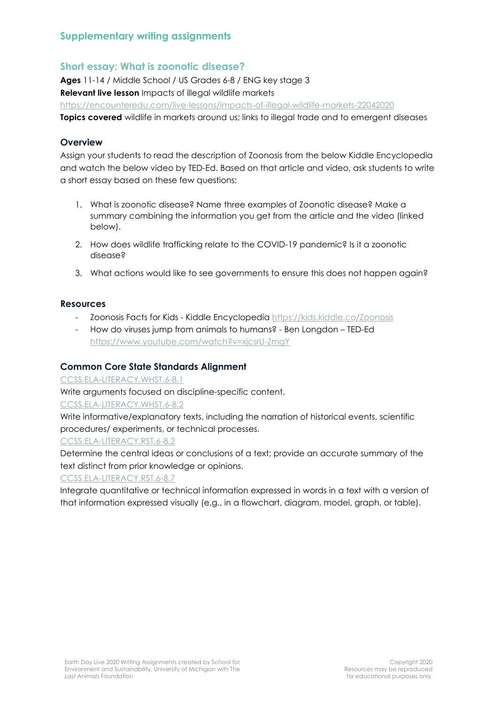# **Short essay: What is zoonotic disease?**

**Ages** 11-14 / Middle School / US Grades 6-8 / ENG key stage 3 **Relevant live lesson** Impacts of illegal wildlife markets <https://encounteredu.com/live-lessons/impacts-of-illegal-wildlife-markets-22042020> **Topics covered** wildlife in markets around us; links to illegal trade and to emergent diseases

## **Overview**

Assign your students to read the description of Zoonosis from the below Kiddle Encyclopedia and watch the below video by TED-Ed. Based on that article and video, ask students to write a short essay based on these few questions:

- 1. What is zoonotic disease? Name three examples of Zoonotic disease? Make a summary combining the information you get from the article and the video (linked below).
- 2. How does wildlife trafficking relate to the COVID-19 pandemic? Is it a zoonotic disease?
- 3. What actions would like to see governments to ensure this does not happen again?

#### **Resources**

- Zoonosis Facts for Kids Kiddle Encyclopedia <https://kids.kiddle.co/Zoonosis>
- How do viruses jump from animals to humans? Ben Longdon TED-Ed <https://www.youtube.com/watch?v=xjcsrU-ZmgY>

## **Common Core State Standards Alignment**

[CCSS.ELA-LITERACY.WHST.6-8.1](http://www.corestandards.org/ELA-Literacy/WHST/6-8/1/)

Write arguments focused on discipline-specific content.

[CCSS.ELA-LITERACY.WHST.6-8.2](http://www.corestandards.org/ELA-Literacy/WHST/6-8/2/)

Write informative/explanatory texts, including the narration of historical events, scientific procedures/ experiments, or technical processes.

#### [CCSS.ELA-LITERACY.RST.6-8.2](http://www.corestandards.org/ELA-Literacy/RST/6-8/2/)

Determine the central ideas or conclusions of a text; provide an accurate summary of the text distinct from prior knowledge or opinions.

#### [CCSS.ELA-LITERACY.RST.6-8.7](http://www.corestandards.org/ELA-Literacy/RST/6-8/7/)

Integrate quantitative or technical information expressed in words in a text with a version of that information expressed visually (e.g., in a flowchart, diagram, model, graph, or table).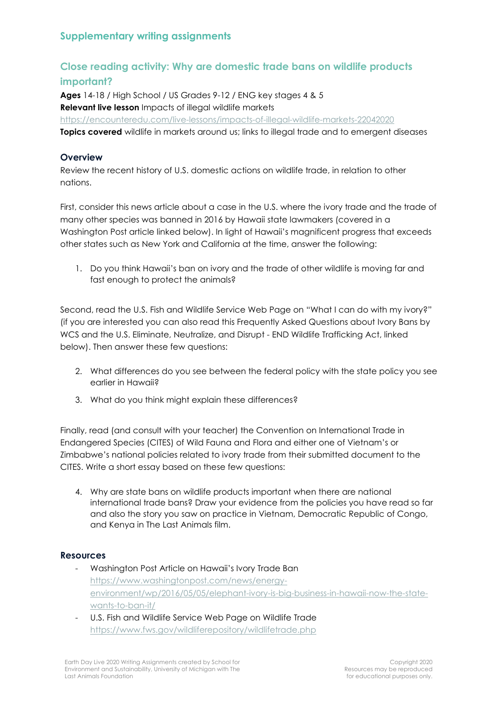# **Close reading activity: Why are domestic trade bans on wildlife products important?**

**Ages** 14-18 / High School / US Grades 9-12 / ENG key stages 4 & 5 **Relevant live lesson** Impacts of illegal wildlife markets <https://encounteredu.com/live-lessons/impacts-of-illegal-wildlife-markets-22042020> **Topics covered** wildlife in markets around us; links to illegal trade and to emergent diseases

## **Overview**

Review the recent history of U.S. domestic actions on wildlife trade, in relation to other nations.

First, consider this news article about a case in the U.S. where the ivory trade and the trade of many other species was banned in 2016 by Hawaii state lawmakers (covered in a Washington Post article linked below). In light of Hawaii's magnificent progress that exceeds other states such as New York and California at the time, answer the following:

1. Do you think Hawaii's ban on ivory and the trade of other wildlife is moving far and fast enough to protect the animals?

Second, read the U.S. Fish and Wildlife Service Web Page on "What I can do with my ivory?" (if you are interested you can also read this Frequently Asked Questions about Ivory Bans by WCS and the U.S. Eliminate, Neutralize, and Disrupt - END Wildlife Trafficking Act, linked below). Then answer these few questions:

- 2. What differences do you see between the federal policy with the state policy you see earlier in Hawaii?
- 3. What do you think might explain these differences?

Finally, read (and consult with your teacher) the Convention on International Trade in Endangered Species (CITES) of Wild Fauna and Flora and either one of Vietnam's or Zimbabwe's national policies related to ivory trade from their submitted document to the CITES. Write a short essay based on these few questions:

4. Why are state bans on wildlife products important when there are national international trade bans? Draw your evidence from the policies you have read so far and also the story you saw on practice in Vietnam, Democratic Republic of Congo, and Kenya in The Last Animals film.

#### **Resources**

- Washington Post Article on Hawaii's Ivory Trade Ban [https://www.washingtonpost.com/news/energy](https://www.washingtonpost.com/news/energy-environment/wp/2016/05/05/elephant-ivory-is-big-business-in-hawaii-now-the-state-wants-to-ban-it/)[environment/wp/2016/05/05/elephant-ivory-is-big-business-in-hawaii-now-the-state](https://www.washingtonpost.com/news/energy-environment/wp/2016/05/05/elephant-ivory-is-big-business-in-hawaii-now-the-state-wants-to-ban-it/)[wants-to-ban-it/](https://www.washingtonpost.com/news/energy-environment/wp/2016/05/05/elephant-ivory-is-big-business-in-hawaii-now-the-state-wants-to-ban-it/)
- U.S. Fish and Wildlife Service Web Page on Wildlife Trade <https://www.fws.gov/wildliferepository/wildlifetrade.php>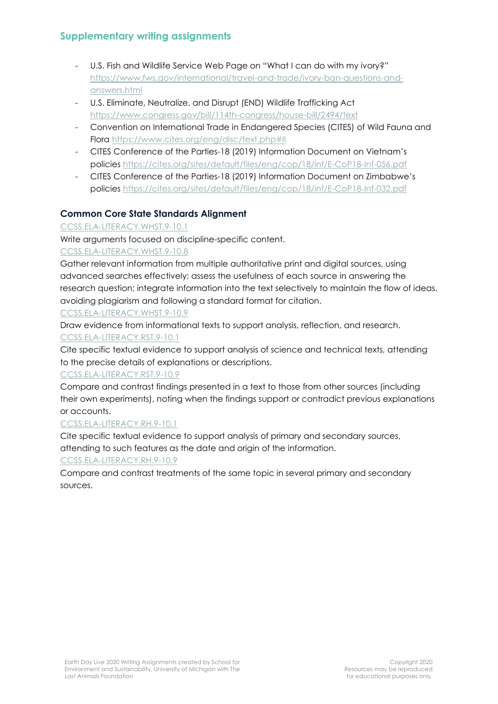- U.S. Fish and Wildlife Service Web Page on "What I can do with my ivory?" [https://www.fws.gov/international/travel-and-trade/ivory-ban-questions-and](https://www.fws.gov/international/travel-and-trade/ivory-ban-questions-and-answers.html)[answers.html](https://www.fws.gov/international/travel-and-trade/ivory-ban-questions-and-answers.html)
- U.S. Eliminate, Neutralize, and Disrupt (END) Wildlife Trafficking Act <https://www.congress.gov/bill/114th-congress/house-bill/2494/text>
- Convention on International Trade in Endangered Species (CITES) of Wild Fauna and Flora <https://www.cites.org/eng/disc/text.php#II>
- CITES Conference of the Parties-18 (2019) Information Document on Vietnam's policies <https://cites.org/sites/default/files/eng/cop/18/inf/E-CoP18-Inf-056.pdf>
- CITES Conference of the Parties-18 (2019) Information Document on Zimbabwe's policies <https://cites.org/sites/default/files/eng/cop/18/inf/E-CoP18-Inf-032.pdf>

# **Common Core State Standards Alignment**

## [CCSS.ELA-LITERACY.WHST.9-10.1](http://www.corestandards.org/ELA-Literacy/WHST/9-10/1/)

Write arguments focused on discipline-specific content.

## [CCSS.ELA-LITERACY.WHST.9-10.8](http://www.corestandards.org/ELA-Literacy/WHST/9-10/8/)

Gather relevant information from multiple authoritative print and digital sources, using advanced searches effectively; assess the usefulness of each source in answering the research question; integrate information into the text selectively to maintain the flow of ideas, avoiding plagiarism and following a standard format for citation.

[CCSS.ELA-LITERACY.WHST.9-10.9](http://www.corestandards.org/ELA-Literacy/WHST/9-10/9/)

Draw evidence from informational texts to support analysis, reflection, and research. [CCSS.ELA-LITERACY.RST.9-10.1](http://www.corestandards.org/ELA-Literacy/RST/9-10/1/)

Cite specific textual evidence to support analysis of science and technical texts, attending to the precise details of explanations or descriptions.

## [CCSS.ELA-LITERACY.RST.9-10.9](http://www.corestandards.org/ELA-Literacy/RST/9-10/9/)

Compare and contrast findings presented in a text to those from other sources (including their own experiments), noting when the findings support or contradict previous explanations or accounts.

## [CCSS.ELA-LITERACY.RH.9-10.1](http://www.corestandards.org/ELA-Literacy/RH/9-10/1/)

Cite specific textual evidence to support analysis of primary and secondary sources, attending to such features as the date and origin of the information.

## [CCSS.ELA-LITERACY.RH.9-10.9](http://www.corestandards.org/ELA-Literacy/RH/9-10/9/)

Compare and contrast treatments of the same topic in several primary and secondary sources.